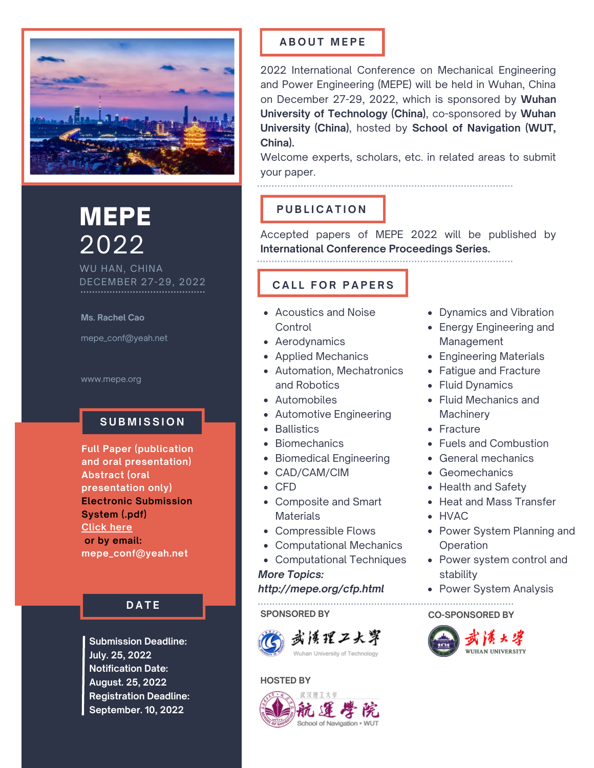

# MEPE 2022

WU HAN, CHINA DECEMBER 27-29, 2022

**Ms. Rachel Cao**

mepe\_conf@yeah.net

www.mepe.org

## $S$  UBMISSION

**Full Paper (publication and oral presentation) Abstract (oral presentation only) Electronic Submission System (.pdf) [Click](http://confsys.iconf.org/submission/mepe2022) here or by email: mepe\_conf@yeah.net**

## **D A T E**

**Submission Deadline: July. 25, 2022 Notification Date: August. 25, 2022 Registration Deadline: September. 10, 2022**

## **A B O U T M E P E**

2022 International Conference on Mechanical Engineering and Power Engineering (MEPE) will be held in Wuhan, China on December 27-29, 2022, which is sponsored by **Wuhan University of Technology (China)**, co-sponsored by **Wuhan University (China)**, hosted by **School of Navigation (WUT, China).**

Welcome experts, scholars, etc. in related areas to submit your paper.

# **P U B L I C A T I O N**

Accepted papers of MEPE 2022 will be published by **International Conference Proceedings Series.**

## **C A L L F O R P A P E R S**

- Acoustics and Noise **Control**
- Aerodynamics
- Applied Mechanics
- Automation, Mechatronics and Robotics
- Automobiles
- Automotive Engineering
- Ballistics
- Biomechanics
- Biomedical Engineering
- CAD/CAM/CIM
- CFD
- Composite and Smart **Materials**
- Compressible Flows
- Computational Mechanics
- Computational Techniques
- *More Topics:*

*http://mepe.org/cfp.html*

**SPONSORED BY**



#### **HOSTED BY**



- Dynamics and Vibration
- Energy Engineering and Management
- Engineering Materials
- Fatigue and Fracture
- Fluid Dynamics
- Fluid Mechanics and **Machinery**
- Fracture
- Fuels and Combustion
- General mechanics
- Geomechanics
- Health and Safety
- Heat and Mass Transfer
- HVAC
- Power System Planning and **Operation**
- Power system control and stability
- Power System Analysis

**CO-SPONSORED BY**